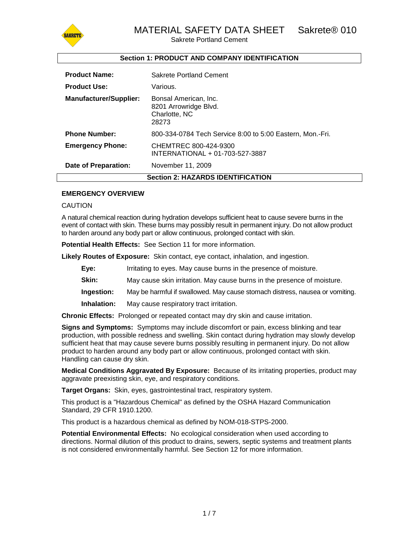

# **Section 1: PRODUCT AND COMPANY IDENTIFICATION**

| <b>Product Name:</b>                     | Sakrete Portland Cement                                                  |  |
|------------------------------------------|--------------------------------------------------------------------------|--|
| <b>Product Use:</b>                      | Various.                                                                 |  |
| <b>Manufacturer/Supplier:</b>            | Bonsal American, Inc.<br>8201 Arrowridge Blvd.<br>Charlotte, NC<br>28273 |  |
| <b>Phone Number:</b>                     | 800-334-0784 Tech Service 8:00 to 5:00 Eastern, Mon.-Fri.                |  |
| <b>Emergency Phone:</b>                  | CHEMTREC 800-424-9300<br>INTERNATIONAL + 01-703-527-3887                 |  |
| Date of Preparation:                     | November 11, 2009                                                        |  |
| <b>Section 2: HAZARDS IDENTIFICATION</b> |                                                                          |  |

#### **EMERGENCY OVERVIEW**

#### CAUTION

A natural chemical reaction during hydration develops sufficient heat to cause severe burns in the event of contact with skin. These burns may possibly result in permanent injury. Do not allow product to harden around any body part or allow continuous, prolonged contact with skin.

**Potential Health Effects:** See Section 11 for more information.

**Likely Routes of Exposure:** Skin contact, eye contact, inhalation, and ingestion.

- **Eye:** Irritating to eyes. May cause burns in the presence of moisture.
- **Skin:** May cause skin irritation. May cause burns in the presence of moisture.
- **Ingestion:** May be harmful if swallowed. May cause stomach distress, nausea or vomiting.
- **Inhalation:** May cause respiratory tract irritation.

**Chronic Effects:** Prolonged or repeated contact may dry skin and cause irritation.

**Signs and Symptoms:** Symptoms may include discomfort or pain, excess blinking and tear production, with possible redness and swelling. Skin contact during hydration may slowly develop sufficient heat that may cause severe burns possibly resulting in permanent injury. Do not allow product to harden around any body part or allow continuous, prolonged contact with skin. Handling can cause dry skin.

**Medical Conditions Aggravated By Exposure:** Because of its irritating properties, product may aggravate preexisting skin, eye, and respiratory conditions.

**Target Organs:** Skin, eyes, gastrointestinal tract, respiratory system.

This product is a "Hazardous Chemical" as defined by the OSHA Hazard Communication Standard, 29 CFR 1910.1200.

This product is a hazardous chemical as defined by NOM-018-STPS-2000.

**Potential Environmental Effects:** No ecological consideration when used according to directions. Normal dilution of this product to drains, sewers, septic systems and treatment plants is not considered environmentally harmful. See Section 12 for more information.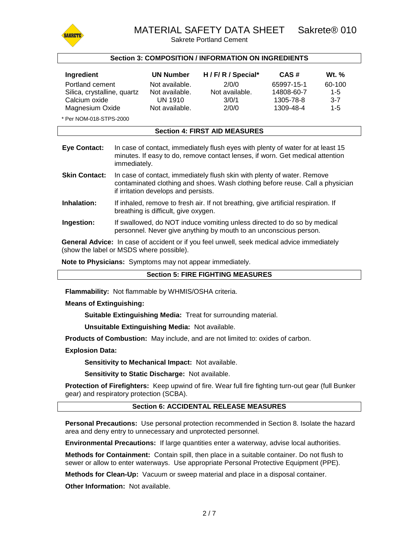

# MATERIAL SAFETY DATA SHEET Sakrete® 010

Sakrete Portland Cement

#### **Section 3: COMPOSITION / INFORMATION ON INGREDIENTS**

| Ingredient                  | <b>UN Number</b> | H / F/ R / Special* | CAS#       | <b>Wt.</b> % |
|-----------------------------|------------------|---------------------|------------|--------------|
| Portland cement             | Not available.   | 2/0/0               | 65997-15-1 | 60-100       |
| Silica, crystalline, quartz | Not available.   | Not available.      | 14808-60-7 | $1-5$        |
| Calcium oxide               | UN 1910          | 3/0/1               | 1305-78-8  | $3 - 7$      |
| Magnesium Oxide             | Not available.   | 2/0/0               | 1309-48-4  | 1-5          |

\* Per NOM-018-STPS-2000

#### **Section 4: FIRST AID MEASURES**

| Eye Contact: | In case of contact, immediately flush eyes with plenty of water for at least 15 |
|--------------|---------------------------------------------------------------------------------|
|              | minutes. If easy to do, remove contact lenses, if worn. Get medical attention   |
|              | immediately.                                                                    |

- **Skin Contact:** In case of contact, immediately flush skin with plenty of water. Remove contaminated clothing and shoes. Wash clothing before reuse. Call a physician if irritation develops and persists.
- **Inhalation:** If inhaled, remove to fresh air. If not breathing, give artificial respiration. If breathing is difficult, give oxygen.
- **Ingestion:** If swallowed, do NOT induce vomiting unless directed to do so by medical personnel. Never give anything by mouth to an unconscious person.

**General Advice:** In case of accident or if you feel unwell, seek medical advice immediately (show the label or MSDS where possible).

**Note to Physicians:** Symptoms may not appear immediately.

#### **Section 5: FIRE FIGHTING MEASURES**

**Flammability:** Not flammable by WHMIS/OSHA criteria.

#### **Means of Extinguishing:**

**Suitable Extinguishing Media:** Treat for surrounding material.

**Unsuitable Extinguishing Media:** Not available.

**Products of Combustion:** May include, and are not limited to: oxides of carbon.

#### **Explosion Data:**

**Sensitivity to Mechanical Impact:** Not available.

**Sensitivity to Static Discharge:** Not available.

**Protection of Firefighters:** Keep upwind of fire. Wear full fire fighting turn-out gear (full Bunker gear) and respiratory protection (SCBA).

#### **Section 6: ACCIDENTAL RELEASE MEASURES**

**Personal Precautions:** Use personal protection recommended in Section 8. Isolate the hazard area and deny entry to unnecessary and unprotected personnel.

**Environmental Precautions:** If large quantities enter a waterway, advise local authorities.

**Methods for Containment:** Contain spill, then place in a suitable container. Do not flush to sewer or allow to enter waterways. Use appropriate Personal Protective Equipment (PPE).

**Methods for Clean-Up:** Vacuum or sweep material and place in a disposal container.

**Other Information:** Not available.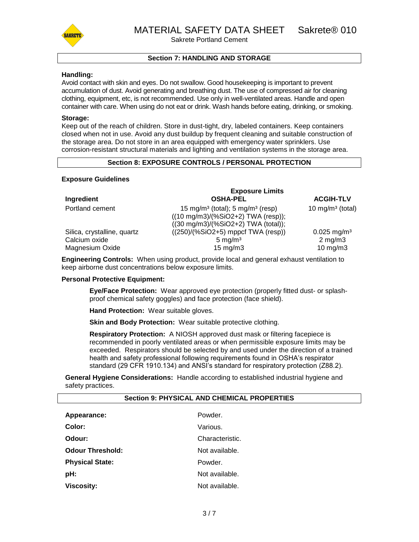

# **Section 7: HANDLING AND STORAGE**

#### **Handling:**

Avoid contact with skin and eyes. Do not swallow. Good housekeeping is important to prevent accumulation of dust. Avoid generating and breathing dust. The use of compressed air for cleaning clothing, equipment, etc, is not recommended. Use only in well-ventilated areas. Handle and open container with care. When using do not eat or drink. Wash hands before eating, drinking, or smoking.

#### **Storage:**

Keep out of the reach of children. Store in dust-tight, dry, labeled containers. Keep containers closed when not in use. Avoid any dust buildup by frequent cleaning and suitable construction of the storage area. Do not store in an area equipped with emergency water sprinklers. Use corrosion-resistant structural materials and lighting and ventilation systems in the storage area.

#### **Section 8: EXPOSURE CONTROLS / PERSONAL PROTECTION**

#### **Exposure Guidelines**

|                             | <b>Exposure Limits</b>                                                                                                                            |                              |  |
|-----------------------------|---------------------------------------------------------------------------------------------------------------------------------------------------|------------------------------|--|
| Ingredient                  | <b>OSHA-PEL</b>                                                                                                                                   | <b>ACGIH-TLV</b>             |  |
| Portland cement             | 15 mg/m <sup>3</sup> (total); 5 mg/m <sup>3</sup> (resp)<br>$((10 \text{ mg/m3})/(%SiO2+2)$ TWA (resp));<br>$((30 mg/m3)/(%SiO2+2) TWA (total));$ | 10 mg/m <sup>3</sup> (total) |  |
| Silica, crystalline, quartz | $((250)/(%SiO2+5)$ mppcf TWA (resp))                                                                                                              | $0.025$ mg/m <sup>3</sup>    |  |
| Calcium oxide               | $5 \text{ mg/m}^3$                                                                                                                                | $2$ mg/m $3$                 |  |
| Magnesium Oxide             | $15 \text{ mg/m}$                                                                                                                                 | $10$ mg/m $3$                |  |

**Engineering Controls:** When using product, provide local and general exhaust ventilation to keep airborne dust concentrations below exposure limits.

#### **Personal Protective Equipment:**

**Eye/Face Protection:** Wear approved eye protection (properly fitted dust- or splashproof chemical safety goggles) and face protection (face shield).

**Hand Protection:** Wear suitable gloves.

**Skin and Body Protection:** Wear suitable protective clothing.

**Respiratory Protection:** A NIOSH approved dust mask or filtering facepiece is recommended in poorly ventilated areas or when permissible exposure limits may be exceeded. Respirators should be selected by and used under the direction of a trained health and safety professional following requirements found in OSHA's respirator standard (29 CFR 1910.134) and ANSI's standard for respiratory protection (Z88.2).

**General Hygiene Considerations:** Handle according to established industrial hygiene and safety practices.

| <b>Section 9: PHYSICAL AND CHEMICAL PROPERTIES</b> |                 |  |  |
|----------------------------------------------------|-----------------|--|--|
| Appearance:                                        | Powder.         |  |  |
| Color:                                             | Various.        |  |  |
| Odour:                                             | Characteristic. |  |  |
| <b>Odour Threshold:</b>                            | Not available.  |  |  |
| <b>Physical State:</b>                             | Powder.         |  |  |
| pH:                                                | Not available.  |  |  |
| <b>Viscosity:</b>                                  | Not available.  |  |  |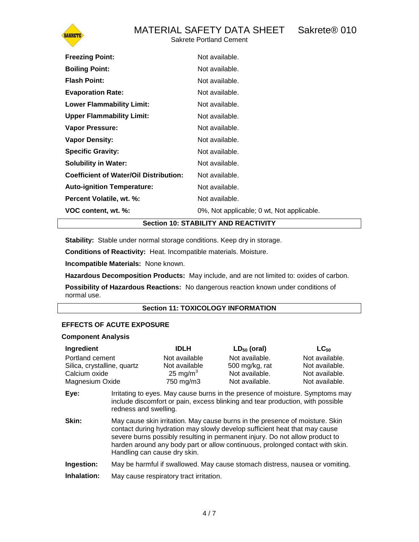

| <b>Freezing Point:</b>                        | Not available.                            |
|-----------------------------------------------|-------------------------------------------|
| <b>Boiling Point:</b>                         | Not available.                            |
| <b>Flash Point:</b>                           | Not available.                            |
| <b>Evaporation Rate:</b>                      | Not available.                            |
| <b>Lower Flammability Limit:</b>              | Not available.                            |
| <b>Upper Flammability Limit:</b>              | Not available.                            |
| <b>Vapor Pressure:</b>                        | Not available.                            |
| <b>Vapor Density:</b>                         | Not available.                            |
| <b>Specific Gravity:</b>                      | Not available.                            |
| <b>Solubility in Water:</b>                   | Not available.                            |
| <b>Coefficient of Water/Oil Distribution:</b> | Not available.                            |
| <b>Auto-ignition Temperature:</b>             | Not available.                            |
| Percent Volatile, wt. %:                      | Not available.                            |
| VOC content, wt. %:                           | 0%, Not applicable; 0 wt, Not applicable. |

**Section 10: STABILITY AND REACTIVITY**

**Stability:** Stable under normal storage conditions. Keep dry in storage.

**Conditions of Reactivity:** Heat. Incompatible materials. Moisture.

**Incompatible Materials:** None known.

**Hazardous Decomposition Products:** May include, and are not limited to: oxides of carbon.

**Possibility of Hazardous Reactions:** No dangerous reaction known under conditions of normal use.

# **Section 11: TOXICOLOGY INFORMATION**

# **EFFECTS OF ACUTE EXPOSURE**

#### **Component Analysis**

| Ingredient<br>Portland cement<br>Silica, crystalline, quartz<br>Calcium oxide<br>Magnesium Oxide |                                                                                                                                                                                                                                                                                                                                                             | <b>IDLH</b><br>Not available<br>Not available<br>25 mg/m $3$<br>750 mg/m3 | $LD_{50}$ (oral)<br>Not available.<br>500 mg/kg, rat<br>Not available.<br>Not available. | $LC_{50}$<br>Not available.<br>Not available.<br>Not available.<br>Not available. |
|--------------------------------------------------------------------------------------------------|-------------------------------------------------------------------------------------------------------------------------------------------------------------------------------------------------------------------------------------------------------------------------------------------------------------------------------------------------------------|---------------------------------------------------------------------------|------------------------------------------------------------------------------------------|-----------------------------------------------------------------------------------|
| Eye:                                                                                             | Irritating to eyes. May cause burns in the presence of moisture. Symptoms may<br>include discomfort or pain, excess blinking and tear production, with possible<br>redness and swelling.                                                                                                                                                                    |                                                                           |                                                                                          |                                                                                   |
| Skin:                                                                                            | May cause skin irritation. May cause burns in the presence of moisture. Skin<br>contact during hydration may slowly develop sufficient heat that may cause<br>severe burns possibly resulting in permanent injury. Do not allow product to<br>harden around any body part or allow continuous, prolonged contact with skin.<br>Handling can cause dry skin. |                                                                           |                                                                                          |                                                                                   |
| Ingestion:                                                                                       |                                                                                                                                                                                                                                                                                                                                                             |                                                                           | May be harmful if swallowed. May cause stomach distress, nausea or vomiting.             |                                                                                   |
| Inhalation:                                                                                      |                                                                                                                                                                                                                                                                                                                                                             | May cause respiratory tract irritation.                                   |                                                                                          |                                                                                   |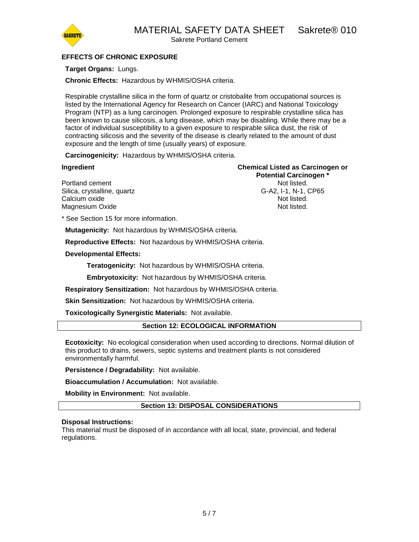MATERIAL SAFETY DATA SHEET Sakrete® 010



Sakrete Portland Cement

# **EFFECTS OF CHRONIC EXPOSURE**

# **Target Organs:** Lungs.

**Chronic Effects:** Hazardous by WHMIS/OSHA criteria.

Respirable crystalline silica in the form of quartz or cristobalite from occupational sources is listed by the International Agency for Research on Cancer (IARC) and National Toxicology Program (NTP) as a lung carcinogen. Prolonged exposure to respirable crystalline silica has been known to cause silicosis, a lung disease, which may be disabling. While there may be a factor of individual susceptibility to a given exposure to respirable silica dust, the risk of contracting silicosis and the severity of the disease is clearly related to the amount of dust exposure and the length of time (usually years) of exposure.

**Carcinogenicity:** Hazardous by WHMIS/OSHA criteria.

**Ingredient Chemical Listed as Carcinogen or Potential Carcinogen \*** Portland cement **Not listed**. Silica, crystalline, quartz G-A2, I-1, N-1, CP65 Calcium oxide **Not listed.** Not listed. Magnesium Oxide Not listed.

\* See Section 15 for more information.

**Mutagenicity:** Not hazardous by WHMIS/OSHA criteria.

**Reproductive Effects:** Not hazardous by WHMIS/OSHA criteria.

# **Developmental Effects:**

**Teratogenicity:** Not hazardous by WHMIS/OSHA criteria.

**Embryotoxicity:** Not hazardous by WHMIS/OSHA criteria.

**Respiratory Sensitization:** Not hazardous by WHMIS/OSHA criteria.

**Skin Sensitization:** Not hazardous by WHMIS/OSHA criteria.

**Toxicologically Synergistic Materials:** Not available.

# **Section 12: ECOLOGICAL INFORMATION**

**Ecotoxicity:** No ecological consideration when used according to directions. Normal dilution of this product to drains, sewers, septic systems and treatment plants is not considered environmentally harmful.

**Persistence / Degradability:** Not available.

**Bioaccumulation / Accumulation:** Not available.

**Mobility in Environment:** Not available.

**Section 13: DISPOSAL CONSIDERATIONS**

#### **Disposal Instructions:**

This material must be disposed of in accordance with all local, state, provincial, and federal regulations.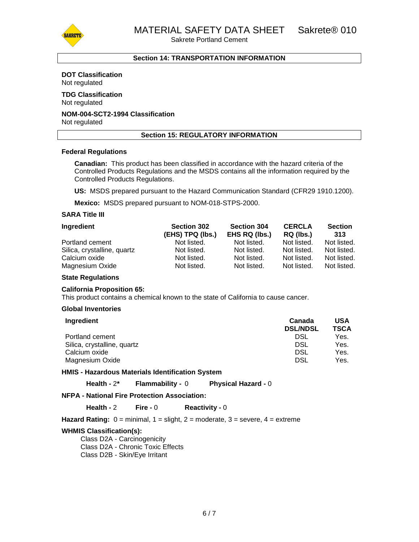MATERIAL SAFETY DATA SHEET Sakrete® 010

Sakrete Portland Cement



# **Section 14: TRANSPORTATION INFORMATION**

# **DOT Classification**

Not regulated

#### **TDG Classification** Not regulated

# **NOM-004-SCT2-1994 Classification**

Not regulated

### **Section 15: REGULATORY INFORMATION**

#### **Federal Regulations**

**Canadian:** This product has been classified in accordance with the hazard criteria of the Controlled Products Regulations and the MSDS contains all the information required by the Controlled Products Regulations.

**US:** MSDS prepared pursuant to the Hazard Communication Standard (CFR29 1910.1200).

**Mexico:** MSDS prepared pursuant to NOM-018-STPS-2000.

# **SARA Title III**

| Ingredient                  | <b>Section 302</b><br>(EHS) TPQ (lbs.) | <b>Section 304</b><br>EHS RQ (lbs.) | <b>CERCLA</b><br>RQ (lbs.) | <b>Section</b><br>313 |
|-----------------------------|----------------------------------------|-------------------------------------|----------------------------|-----------------------|
| Portland cement             | Not listed.                            | Not listed.                         | Not listed.                | Not listed.           |
| Silica, crystalline, quartz | Not listed.                            | Not listed.                         | Not listed.                | Not listed.           |
| Calcium oxide               | Not listed.                            | Not listed.                         | Not listed.                | Not listed.           |
| Magnesium Oxide             | Not listed.                            | Not listed.                         | Not listed.                | Not listed.           |

#### **State Regulations**

#### **California Proposition 65:**

This product contains a chemical known to the state of California to cause cancer.

#### **Global Inventories**

| Ingredient                  | Canada<br><b>DSL/NDSL</b> | USA<br><b>TSCA</b> |
|-----------------------------|---------------------------|--------------------|
| Portland cement             | DSL                       | Yes.               |
| Silica, crystalline, quartz | DSL                       | Yes.               |
| Calcium oxide               | DSL                       | Yes.               |
| Magnesium Oxide             | <b>DSL</b>                | Yes.               |

**HMIS - Hazardous Materials Identification System**

**Health -** 2**\* Flammability -** 0 **Physical Hazard -** 0

# **NFPA - National Fire Protection Association:**

**Health -** 2 **Fire -** 0 **Reactivity -** 0

**Hazard Rating:** 0 = minimal, 1 = slight, 2 = moderate, 3 = severe, 4 = extreme

#### **WHMIS Classification(s):**

Class D2A - Carcinogenicity Class D2A - Chronic Toxic Effects Class D2B - Skin/Eye Irritant